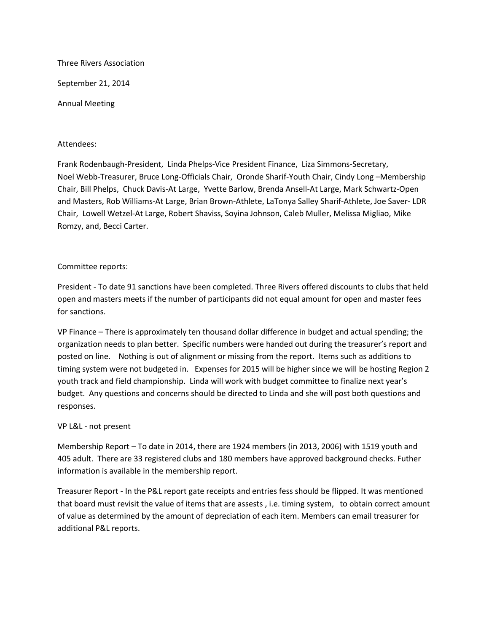Three Rivers Association

September 21, 2014

Annual Meeting

## Attendees:

Frank Rodenbaugh-President, Linda Phelps-Vice President Finance, Liza Simmons-Secretary, Noel Webb-Treasurer, Bruce Long-Officials Chair, Oronde Sharif-Youth Chair, Cindy Long –Membership Chair, Bill Phelps, Chuck Davis-At Large, Yvette Barlow, Brenda Ansell-At Large, Mark Schwartz-Open and Masters, Rob Williams-At Large, Brian Brown-Athlete, LaTonya Salley Sharif-Athlete, Joe Saver- LDR Chair, Lowell Wetzel-At Large, Robert Shaviss, Soyina Johnson, Caleb Muller, Melissa Migliao, Mike Romzy, and, Becci Carter.

## Committee reports:

President - To date 91 sanctions have been completed. Three Rivers offered discounts to clubs that held open and masters meets if the number of participants did not equal amount for open and master fees for sanctions.

VP Finance – There is approximately ten thousand dollar difference in budget and actual spending; the organization needs to plan better. Specific numbers were handed out during the treasurer's report and posted on line. Nothing is out of alignment or missing from the report. Items such as additions to timing system were not budgeted in. Expenses for 2015 will be higher since we will be hosting Region 2 youth track and field championship. Linda will work with budget committee to finalize next year's budget. Any questions and concerns should be directed to Linda and she will post both questions and responses.

# VP L&L - not present

Membership Report – To date in 2014, there are 1924 members (in 2013, 2006) with 1519 youth and 405 adult. There are 33 registered clubs and 180 members have approved background checks. Futher information is available in the membership report.

Treasurer Report - In the P&L report gate receipts and entries fess should be flipped. It was mentioned that board must revisit the value of items that are assests , i.e. timing system, to obtain correct amount of value as determined by the amount of depreciation of each item. Members can email treasurer for additional P&L reports.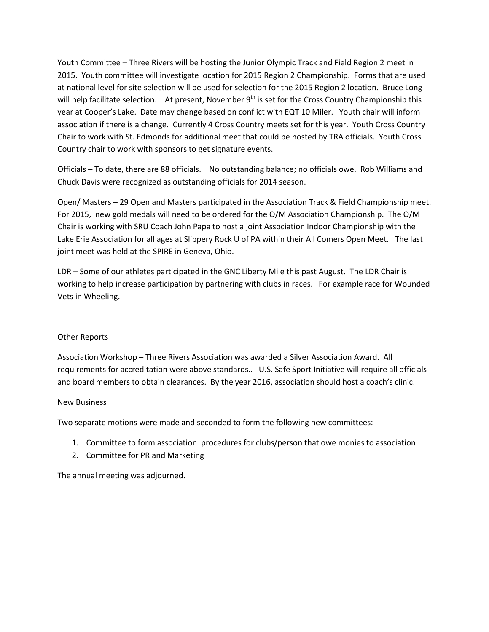Youth Committee – Three Rivers will be hosting the Junior Olympic Track and Field Region 2 meet in 2015. Youth committee will investigate location for 2015 Region 2 Championship. Forms that are used at national level for site selection will be used for selection for the 2015 Region 2 location. Bruce Long will help facilitate selection. At present, November  $9<sup>th</sup>$  is set for the Cross Country Championship this year at Cooper's Lake. Date may change based on conflict with EQT 10 Miler. Youth chair will inform association if there is a change. Currently 4 Cross Country meets set for this year. Youth Cross Country Chair to work with St. Edmonds for additional meet that could be hosted by TRA officials. Youth Cross Country chair to work with sponsors to get signature events.

Officials – To date, there are 88 officials. No outstanding balance; no officials owe. Rob Williams and Chuck Davis were recognized as outstanding officials for 2014 season.

Open/ Masters – 29 Open and Masters participated in the Association Track & Field Championship meet. For 2015, new gold medals will need to be ordered for the O/M Association Championship. The O/M Chair is working with SRU Coach John Papa to host a joint Association Indoor Championship with the Lake Erie Association for all ages at Slippery Rock U of PA within their All Comers Open Meet. The last joint meet was held at the SPIRE in Geneva, Ohio.

LDR – Some of our athletes participated in the GNC Liberty Mile this past August. The LDR Chair is working to help increase participation by partnering with clubs in races. For example race for Wounded Vets in Wheeling.

# Other Reports

Association Workshop – Three Rivers Association was awarded a Silver Association Award. All requirements for accreditation were above standards.. U.S. Safe Sport Initiative will require all officials and board members to obtain clearances. By the year 2016, association should host a coach's clinic.

# New Business

Two separate motions were made and seconded to form the following new committees:

- 1. Committee to form association procedures for clubs/person that owe monies to association
- 2. Committee for PR and Marketing

The annual meeting was adjourned.